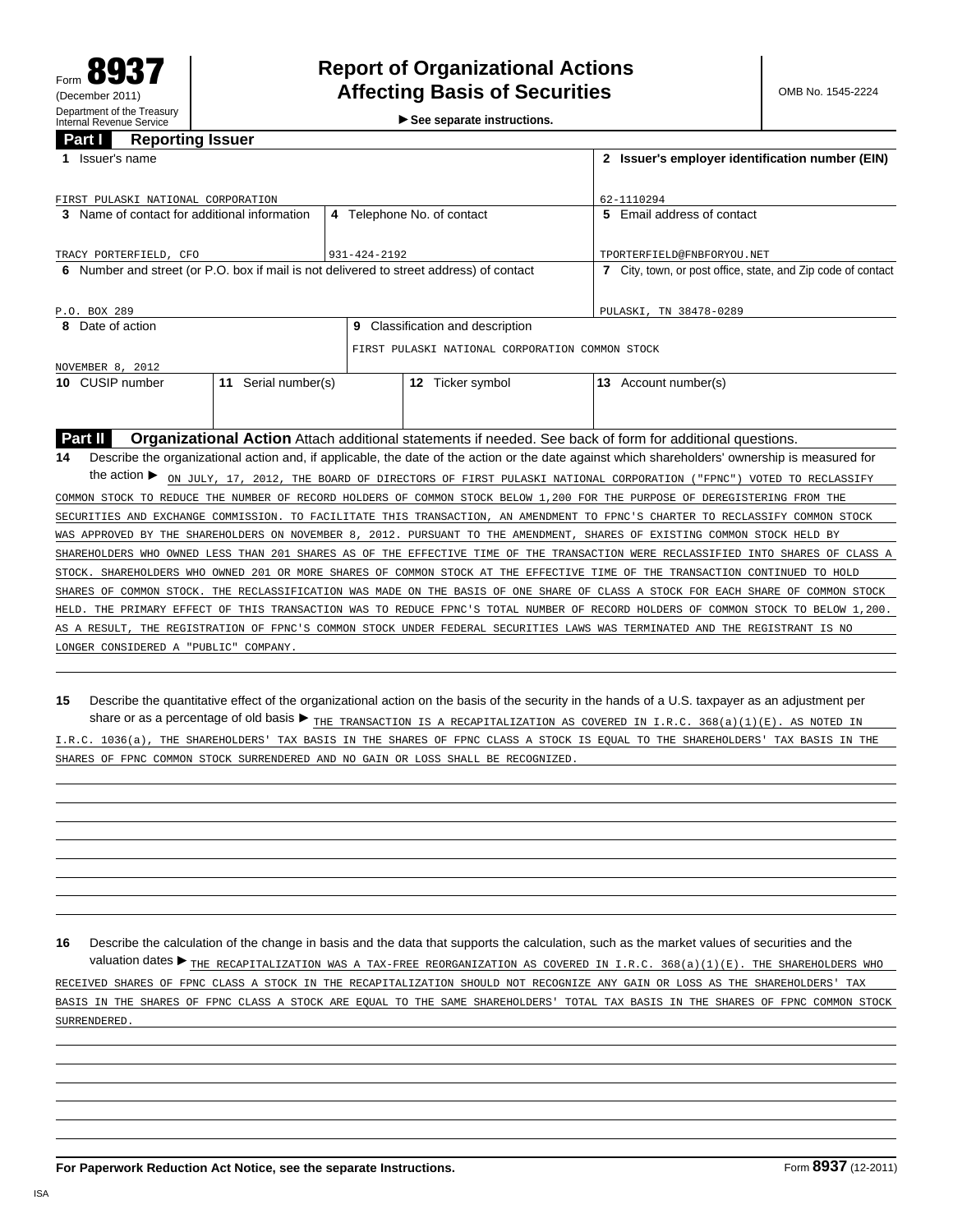**See separate instructions.**

## **Part I Reporting Issuer**

| Issuer's name<br>1.                                                                                                                                   |  |                                  | 2 Issuer's employer identification number (EIN)              |
|-------------------------------------------------------------------------------------------------------------------------------------------------------|--|----------------------------------|--------------------------------------------------------------|
|                                                                                                                                                       |  |                                  |                                                              |
| FIRST PULASKI NATIONAL CORPORATION                                                                                                                    |  |                                  | 62-1110294                                                   |
| 3 Name of contact for additional information                                                                                                          |  | 4 Telephone No. of contact       | 5 Email address of contact                                   |
|                                                                                                                                                       |  |                                  |                                                              |
| TRACY PORTERFIELD, CFO<br>931-424-2192                                                                                                                |  |                                  | TPORTERFIELD@FNBFORYOU.NET                                   |
| 6 Number and street (or P.O. box if mail is not delivered to street address) of contact                                                               |  |                                  | 7 City, town, or post office, state, and Zip code of contact |
|                                                                                                                                                       |  |                                  |                                                              |
| P.O. BOX 289                                                                                                                                          |  |                                  | PULASKI, TN 38478-0289                                       |
| 8 Date of action                                                                                                                                      |  | 9 Classification and description |                                                              |
| FIRST PULASKI NATIONAL CORPORATION COMMON STOCK                                                                                                       |  |                                  |                                                              |
| NOVEMBER 8, 2012                                                                                                                                      |  |                                  |                                                              |
| 11 Serial number(s)<br>10 CUSIP number                                                                                                                |  | 12 Ticker symbol                 | 13 Account number(s)                                         |
|                                                                                                                                                       |  |                                  |                                                              |
|                                                                                                                                                       |  |                                  |                                                              |
| Part II<br><b>Organizational Action</b> Attach additional statements if needed. See back of form for additional questions.                            |  |                                  |                                                              |
| Describe the organizational action and, if applicable, the date of the action or the date against which shareholders' ownership is measured for<br>14 |  |                                  |                                                              |
| the action $\blacktriangleright$<br>ON JULY, 17, 2012, THE BOARD OF DIRECTORS OF FIRST PULASKI NATIONAL CORPORATION ("FPNC") VOTED TO RECLASSIFY      |  |                                  |                                                              |
| COMMON STOCK TO REDUCE THE NUMBER OF RECORD HOLDERS OF COMMON STOCK BELOW 1,200 FOR THE PURPOSE OF DEREGISTERING FROM THE                             |  |                                  |                                                              |
| SECURITIES AND EXCHANGE COMMISSION. TO FACILITATE THIS TRANSACTION, AN AMENDMENT TO FPNC'S CHARTER TO RECLASSIFY COMMON STOCK                         |  |                                  |                                                              |
| WAS APPROVED BY THE SHAREHOLDERS ON NOVEMBER 8, 2012. PURSUANT TO THE AMENDMENT, SHARES OF EXISTING COMMON STOCK HELD BY                              |  |                                  |                                                              |
| SHAREHOLDERS WHO OWNED LESS THAN 201 SHARES AS OF THE EFFECTIVE TIME OF THE TRANSACTION WERE RECLASSIFIED INTO SHARES OF CLASS A                      |  |                                  |                                                              |
| STOCK. SHAREHOLDERS WHO OWNED 201 OR MORE SHARES OF COMMON STOCK AT THE EFFECTIVE TIME OF THE TRANSACTION CONTINUED TO HOLD                           |  |                                  |                                                              |
| SHARES OF COMMON STOCK. THE RECLASSIFICATION WAS MADE ON THE BASIS OF ONE SHARE OF CLASS A STOCK FOR EACH SHARE OF COMMON STOCK                       |  |                                  |                                                              |
| HELD. THE PRIMARY EFFECT OF THIS TRANSACTION WAS TO REDUCE FPNC'S TOTAL NUMBER OF RECORD HOLDERS OF COMMON STOCK TO BELOW 1,200.                      |  |                                  |                                                              |
| AS A RESULT, THE REGISTRATION OF FPNC'S COMMON STOCK UNDER FEDERAL SECURITIES LAWS WAS TERMINATED AND THE REGISTRANT IS NO                            |  |                                  |                                                              |
| LONGER CONSIDERED A "PUBLIC" COMPANY.                                                                                                                 |  |                                  |                                                              |
|                                                                                                                                                       |  |                                  |                                                              |

## **15** Describe the quantitative effect of the organizational action on the basis of the security in the hands of a U.S. taxpayer as an adjustment per share or as a percentage of old basis *THE TRANSACTION IS A RECAPITALIZATION AS COVERED IN I.R.C. 368(a)(1)(E). AS NOTED IN*

*I.R.C. 1036(a), THE SHAREHOLDERS' TAX BASIS IN THE SHARES OF FPNC CLASS A STOCK IS EQUAL TO THE SHAREHOLDERS' TAX BASIS IN THE SHARES OF FPNC COMMON STOCK SURRENDERED AND NO GAIN OR LOSS SHALL BE RECOGNIZED.*

**16** Describe the calculation of the change in basis and the data that supports the calculation, such as the market values of securities and the

valuation dates *THE RECAPITALIZATION WAS A TAX-FREE REORGANIZATION AS COVERED IN I.R.C. 368(a)(1)(E). THE SHAREHOLDERS WHO RECEIVED SHARES OF FPNC CLASS A STOCK IN THE RECAPITALIZATION SHOULD NOT RECOGNIZE ANY GAIN OR LOSS AS THE SHAREHOLDERS' TAX BASIS IN THE SHARES OF FPNC CLASS A STOCK ARE EQUAL TO THE SAME SHAREHOLDERS' TOTAL TAX BASIS IN THE SHARES OF FPNC COMMON STOCK SURRENDERED.*